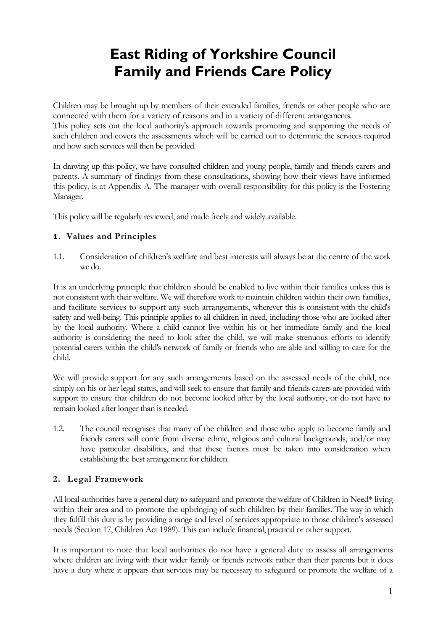# **East Riding of Yorkshire Council Family and Friends Care Policy**

Children may be brought up by members of their extended families, friends or other people who are connected with them for a variety of reasons and in a variety of different arrangements. This policy sets out the local authority's approach towards promoting and supporting the needs of such children and covers the assessments which will be carried out to determine the services required and how such services will then be provided.

In drawing up this policy, we have consulted children and young people, family and friends carers and parents. A summary of findings from these consultations, showing how their views have informed this policy, is at Appendix A. The manager with overall responsibility for this policy is the Fostering Manager.

This policy will be regularly reviewed, and made freely and widely available.

## **1. Values and Principles**

1.1. Consideration of children's welfare and best interests will always be at the centre of the work we do.

It is an underlying principle that children should be enabled to live within their families unless this is not consistent with their welfare. We will therefore work to maintain children within their own families, and facilitate services to support any such arrangements, wherever this is consistent with the child's safety and well-being. This principle applies to all children in need, including those who are looked after by the local authority. Where a child cannot live within his or her immediate family and the local authority is considering the need to look after the child, we will make strenuous efforts to identify potential carers within the child's network of family or friends who are able and willing to care for the child.

We will provide support for any such arrangements based on the assessed needs of the child, not simply on his or her legal status, and will seek to ensure that family and friends carers are provided with support to ensure that children do not become looked after by the local authority, or do not have to remain looked after longer than is needed.

1.2. The council recognises that many of the children and those who apply to become family and friends carers will come from diverse ethnic, religious and cultural backgrounds, and/or may have particular disabilities, and that these factors must be taken into consideration when establishing the best arrangement for children.

## **2. Legal Framework**

All local authorities have a general duty to safeguard and promote the welfare of Children in Need\* living within their area and to promote the upbringing of such children by their families. The way in which they fulfill this duty is by providing a range and level of services appropriate to those children's assessed needs (Section 17, Children Act 1989). This can include financial, practical or other support.

It is important to note that local authorities do not have a general duty to assess all arrangements where children are living with their wider family or friends network rather than their parents but it does have a duty where it appears that services may be necessary to safeguard or promote the welfare of a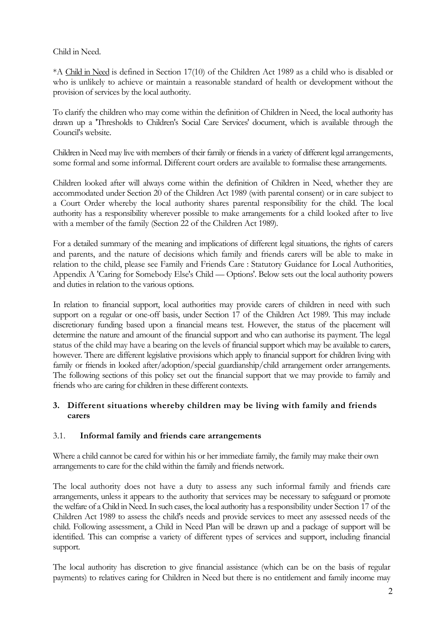## Child in Need.

\*A Child in Need is defined in Section 17(10) of the Children Act 1989 as a child who is disabled or who is unlikely to achieve or maintain a reasonable standard of health or development without the provision of services by the local authority.

To clarify the children who may come within the definition of Children in Need, the local authority has drawn up a 'Thresholds to Children's Social Care Services' document, which is available through the Council's website.

Children in Need may live with members of their family or friends in a variety of different legal arrangements, some formal and some informal. Different court orders are available to formalise these arrangements.

Children looked after will always come within the definition of Children in Need, whether they are accommodated under Section 20 of the Children Act 1989 (with parental consent) or in care subject to a Court Order whereby the local authority shares parental responsibility for the child. The local authority has a responsibility wherever possible to make arrangements for a child looked after to live with a member of the family (Section 22 of the Children Act 1989).

For a detailed summary of the meaning and implications of different legal situations, the rights of carers and parents, and the nature of decisions which family and friends carers will be able to make in relation to the child, please see Family and Friends Care : Statutory Guidance for Local Authorities, Appendix A 'Caring for Somebody Else's Child — Options'. Below sets out the local authority powers and duties in relation to the various options.

In relation to financial support, local authorities may provide carers of children in need with such support on a regular or one-off basis, under Section 17 of the Children Act 1989. This may include discretionary funding based upon a financial means test. However, the status of the placement will determine the nature and amount of the financial support and who can authorise its payment. The legal status of the child may have a bearing on the levels of financial support which may be available to carers, however. There are different legislative provisions which apply to financial support for children living with family or friends in looked after/adoption/special guardianship/child arrangement order arrangements. The following sections of this policy set out the financial support that we may provide to family and friends who are caring for children in these different contexts.

## **3. Different situations whereby children may be living with family and friends carers**

## 3.1. **Informal family and friends care arrangements**

Where a child cannot be cared for within his or her immediate family, the family may make their own arrangements to care for the child within the family and friends network.

The local authority does not have a duty to assess any such informal family and friends care arrangements, unless it appears to the authority that services may be necessary to safeguard or promote the welfare of a Child in Need. In such cases, the local authority has a responsibility under Section 17 of the Children Act 1989 to assess the child's needs and provide services to meet any assessed needs of the child. Following assessment, a Child in Need Plan will be drawn up and a package of support will be identified. This can comprise a variety of different types of services and support, including financial support.

The local authority has discretion to give financial assistance (which can be on the basis of regular payments) to relatives caring for Children in Need but there is no entitlement and family income may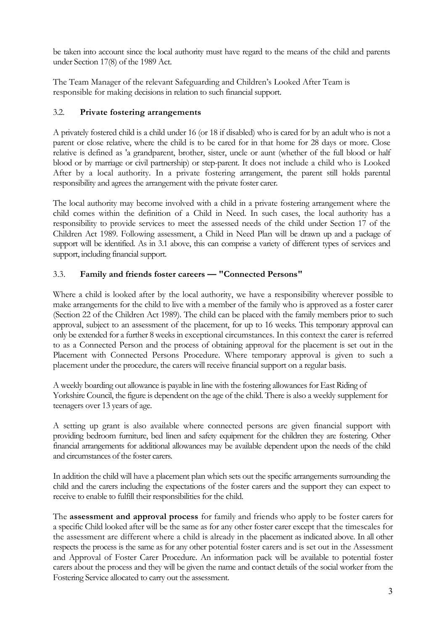be taken into account since the local authority must have regard to the means of the child and parents under Section 17(8) of the 1989 Act.

The Team Manager of the relevant Safeguarding and Children's Looked After Team is responsible for making decisions in relation to such financial support.

# 3.2. **Private fostering arrangements**

A privately fostered child is a child under 16 (or 18 if disabled) who is cared for by an adult who is not a parent or close relative, where the child is to be cared for in that home for 28 days or more. Close relative is defined as 'a grandparent, brother, sister, uncle or aunt (whether of the full blood or half blood or by marriage or civil partnership) or step-parent. It does not include a child who is Looked After by a local authority. In a private fostering arrangement, the parent still holds parental responsibility and agrees the arrangement with the private foster carer.

The local authority may become involved with a child in a private fostering arrangement where the child comes within the definition of a Child in Need. In such cases, the local authority has a responsibility to provide services to meet the assessed needs of the child under Section 17 of the Children Act 1989. Following assessment, a Child in Need Plan will be drawn up and a package of support will be identified. As in 3.1 above, this can comprise a variety of different types of services and support, including financial support.

# 3.3. **Family and friends foster careers — "Connected Persons"**

Where a child is looked after by the local authority, we have a responsibility wherever possible to make arrangements for the child to live with a member of the family who is approved as a foster carer (Section 22 of the Children Act 1989). The child can be placed with the family members prior to such approval, subject to an assessment of the placement, for up to 16 weeks. This temporary approval can only be extended for a further 8 weeks in exceptional circumstances. In this context the carer is referred to as a Connected Person and the process of obtaining approval for the placement is set out in the Placement with Connected Persons Procedure. Where temporary approval is given to such a placement under the procedure, the carers will receive financial support on a regular basis.

A weekly boarding out allowance is payable in line with the fostering allowances for East Riding of Yorkshire Council, the figure is dependent on the age of the child. There is also a weekly supplement for teenagers over 13 years of age.

A setting up grant is also available where connected persons are given financial support with providing bedroom furniture, bed linen and safety equipment for the children they are fostering. Other financial arrangements for additional allowances may be available dependent upon the needs of the child and circumstances of the foster carers.

In addition the child will have a placement plan which sets out the specific arrangements surrounding the child and the carers including the expectations of the foster carers and the support they can expect to receive to enable to fulfill their responsibilities for the child.

The **assessment and approval process** for family and friends who apply to be foster carers for a specific Child looked after will be the same as for any other foster carer except that the timescales for the assessment are different where a child is already in the placement as indicated above. In all other respects the process is the same as for any other potential foster carers and is set out in the Assessment and Approval of Foster Carer Procedure. An information pack will be available to potential foster carers about the process and they will be given the name and contact details of the social worker from the Fostering Service allocated to carry out the assessment.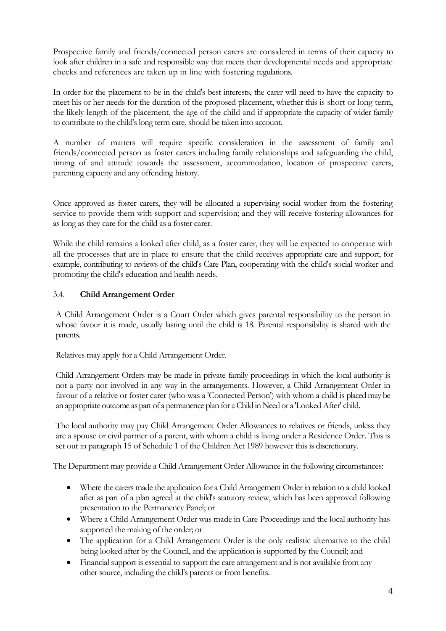Prospective family and friends/connected person carers are considered in terms of their capacity to look after children in a safe and responsible way that meets their developmental needs and appropriate checks and references are taken up in line with fostering regulations.

In order for the placement to be in the child's best interests, the carer will need to have the capacity to meet his or her needs for the duration of the proposed placement, whether this is short or long term, the likely length of the placement, the age of the child and if appropriate the capacity of wider family to contribute to the child's long term care, should be taken into account.

A number of matters will require specific consideration in the assessment of family and friends/connected person as foster carers including family relationships and safeguarding the child, timing of and attitude towards the assessment, accommodation, location of prospective carers, parenting capacity and any offending history.

Once approved as foster carers, they will be allocated a supervising social worker from the fostering service to provide them with support and supervision; and they will receive fostering allowances for as long as they care for the child as a foster carer.

While the child remains a looked after child, as a foster carer, they will be expected to cooperate with all the processes that are in place to ensure that the child receives appropriate care and support, for example, contributing to reviews of the child's Care Plan, cooperating with the child's social worker and promoting the child's education and health needs.

## 3.4. **Child Arrangement Order**

A Child Arrangement Order is a Court Order which gives parental responsibility to the person in whose favour it is made, usually lasting until the child is 18. Parental responsibility is shared with the parents.

Relatives may apply for a Child Arrangement Order.

Child Arrangement Orders may be made in private family proceedings in which the local authority is not a party nor involved in any way in the arrangements. However, a Child Arrangement Order in favour of a relative or foster carer (who was a 'Connected Person') with whom a child is placed may be an appropriate outcome as part of a permanence plan for a Child in Need or a 'Looked After' child.

The local authority may pay Child Arrangement Order Allowances to relatives or friends, unless they are a spouse or civil partner of a parent, with whom a child is living under a Residence Order. This is set out in paragraph 15 of Schedule 1 of the Children Act 1989 however this is discretionary.

The Department may provide a Child Arrangement Order Allowance in the following circumstances:

- Where the carers made the application for a Child Arrangement Order in relation to a child looked after as part of a plan agreed at the child's statutory review, which has been approved following presentation to the Permanency Panel; or
- Where a Child Arrangement Order was made in Care Proceedings and the local authority has supported the making of the order; or
- The application for a Child Arrangement Order is the only realistic alternative to the child being looked after by the Council, and the application is supported by the Council; and
- Financial support is essential to support the care arrangement and is not available from any other source, including the child's parents or from benefits.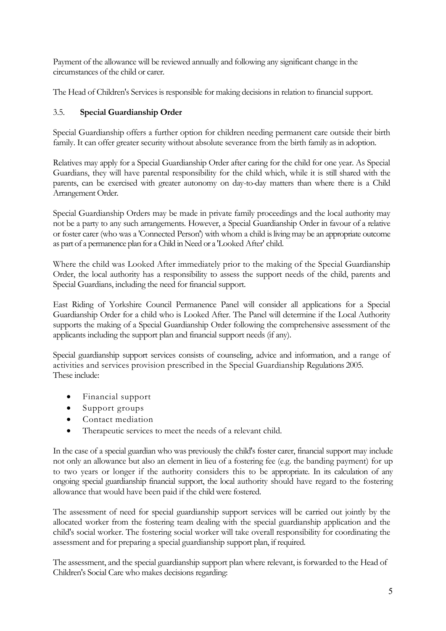Payment of the allowance will be reviewed annually and following any significant change in the circumstances of the child or carer.

The Head of Children's Services is responsible for making decisions in relation to financial support.

# 3.5. **Special Guardianship Order**

Special Guardianship offers a further option for children needing permanent care outside their birth family. It can offer greater security without absolute severance from the birth family as in adoption.

Relatives may apply for a Special Guardianship Order after caring for the child for one year. As Special Guardians, they will have parental responsibility for the child which, while it is still shared with the parents, can be exercised with greater autonomy on day-to-day matters than where there is a Child Arrangement Order.

Special Guardianship Orders may be made in private family proceedings and the local authority may not be a party to any such arrangements. However, a Special Guardianship Order in favour of a relative or foster carer (who was a 'Connected Person') with whom a child is living may be an appropriate outcome as part of a permanence plan for a Child in Need or a 'Looked After' child.

Where the child was Looked After immediately prior to the making of the Special Guardianship Order, the local authority has a responsibility to assess the support needs of the child, parents and Special Guardians, including the need for financial support.

East Riding of Yorkshire Council Permanence Panel will consider all applications for a Special Guardianship Order for a child who is Looked After. The Panel will determine if the Local Authority supports the making of a Special Guardianship Order following the comprehensive assessment of the applicants including the support plan and financial support needs (if any).

Special guardianship support services consists of counseling, advice and information, and a range of activities and services provision prescribed in the Special Guardianship Regulations 2005. These include:

- Financial support
- Support groups
- Contact mediation
- Therapeutic services to meet the needs of a relevant child.

In the case of a special guardian who was previously the child's foster carer, financial support may include not only an allowance but also an element in lieu of a fostering fee (e.g. the banding payment) for up to two years or longer if the authority considers this to be appropriate. In its calculation of any ongoing special guardianship financial support, the local authority should have regard to the fostering allowance that would have been paid if the child were fostered.

The assessment of need for special guardianship support services will be carried out jointly by the allocated worker from the fostering team dealing with the special guardianship application and the child's social worker. The fostering social worker will take overall responsibility for coordinating the assessment and for preparing a special guardianship support plan, if required.

The assessment, and the special guardianship support plan where relevant, is forwarded to the Head of Children's Social Care who makes decisions regarding: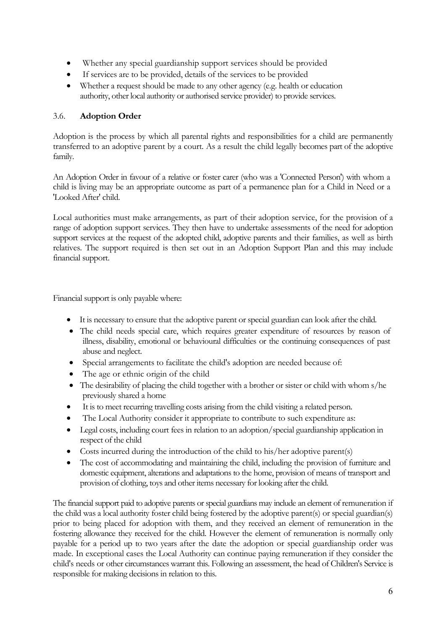- Whether any special guardianship support services should be provided
- If services are to be provided, details of the services to be provided
- Whether a request should be made to any other agency (e.g. health or education authority, other local authority or authorised service provider) to provide services.

# 3.6. **Adoption Order**

Adoption is the process by which all parental rights and responsibilities for a child are permanently transferred to an adoptive parent by a court. As a result the child legally becomes part of the adoptive family.

An Adoption Order in favour of a relative or foster carer (who was a 'Connected Person') with whom a child is living may be an appropriate outcome as part of a permanence plan for a Child in Need or a 'Looked After' child.

Local authorities must make arrangements, as part of their adoption service, for the provision of a range of adoption support services. They then have to undertake assessments of the need for adoption support services at the request of the adopted child, adoptive parents and their families, as well as birth relatives. The support required is then set out in an Adoption Support Plan and this may include financial support.

Financial support is only payable where:

- It is necessary to ensure that the adoptive parent or special guardian can look after the child.
- The child needs special care, which requires greater expenditure of resources by reason of illness, disability, emotional or behavioural difficulties or the continuing consequences of past abuse and neglect.
- Special arrangements to facilitate the child's adoption are needed because of:
- The age or ethnic origin of the child
- The desirability of placing the child together with a brother or sister or child with whom s/he previously shared a home
- It is to meet recurring travelling costs arising from the child visiting a related person.
- The Local Authority consider it appropriate to contribute to such expenditure as:
- Legal costs, including court fees in relation to an adoption/special guardianship application in respect of the child
- Costs incurred during the introduction of the child to his/her adoptive parent(s)
- The cost of accommodating and maintaining the child, including the provision of furniture and domestic equipment, alterations and adaptations to the home, provision of means of transport and provision of clothing, toys and other items necessary for looking after the child.

The financial support paid to adoptive parents or special guardians may include an element of remuneration if the child was a local authority foster child being fostered by the adoptive parent(s) or special guardian(s) prior to being placed for adoption with them, and they received an element of remuneration in the fostering allowance they received for the child. However the element of remuneration is normally only payable for a period up to two years after the date the adoption or special guardianship order was made. In exceptional cases the Local Authority can continue paying remuneration if they consider the child's needs or other circumstances warrant this. Following an assessment, the head of Children's Service is responsible for making decisions in relation to this.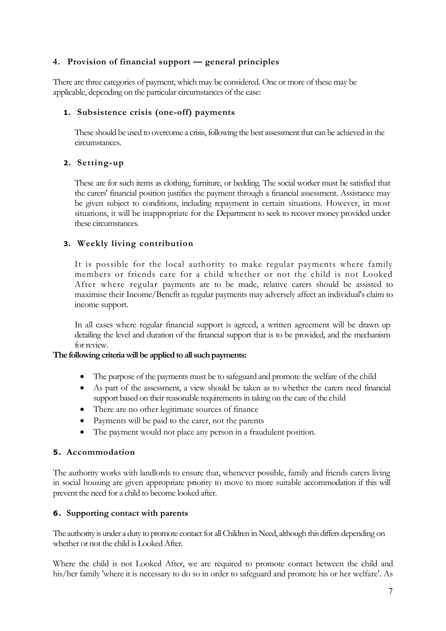# **4. Provision of financial support — general principles**

There are three categories of payment, which may be considered. One or more of these may be applicable, depending on the particular circumstances of the case:

## **1. Subsistence crisis (one-off) payments**

These should be used to overcome a crisis, following the best assessment that can be achieved in the circumstances.

## **2. Setting-up**

These are for such items as clothing, furniture, or bedding. The social worker must be satisfied that the carers' financial position justifies the payment through a financial assessment. Assistance may be given subject to conditions, including repayment in certain situations. However, in most situations, it will be inappropriate for the Department to seek to recover money provided under these circumstances.

## **3. Weekly living contribution**

It is possible for the local authority to make regular payments where family members or friends care for a child whether or not the child is not Looked After where regular payments are to be made, relative carers should be assisted to maximise their Income/Benefit as regular payments may adversely affect an individual's claim to income support.

In all cases where regular financial support is agreed, a written agreement will be drawn up detailing the level and duration of the financial support that is to be provided, and the mechanism for review.

#### **The following criteria will be applied to all such payments:**

- The purpose of the payments must be to safeguard and promote the welfare of the child
- As part of the assessment, a view should be taken as to whether the carers need financial support based on their reasonable requirements in taking on the care of the child
- There are no other legitimate sources of finance
- Payments will be paid to the carer, not the parents
- The payment would not place any person in a fraudulent position.

#### **5. Accommodation**

The authority works with landlords to ensure that, whenever possible, family and friends carers living in social housing are given appropriate priority to move to more suitable accommodation if this will prevent the need for a child to become looked after.

#### **6. Supporting contact with parents**

The authority is under a duty to promote contact for all Children in Need, although this differs depending on whether or not the child is Looked After.

Where the child is not Looked After, we are required to promote contact between the child and his/her family 'where it is necessary to do so in order to safeguard and promote his or her welfare'. As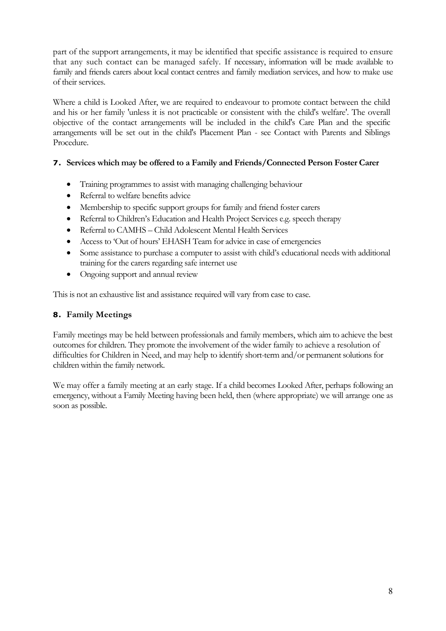part of the support arrangements, it may be identified that specific assistance is required to ensure that any such contact can be managed safely. If necessary, information will be made available to family and friends carers about local contact centres and family mediation services, and how to make use of their services.

Where a child is Looked After, we are required to endeavour to promote contact between the child and his or her family 'unless it is not practicable or consistent with the child's welfare'. The overall objective of the contact arrangements will be included in the child's Care Plan and the specific arrangements will be set out in the child's Placement Plan - see Contact with Parents and Siblings Procedure.

## **7. Services which may be offered to a Family and Friends/Connected Person Foster Carer**

- Training programmes to assist with managing challenging behaviour
- Referral to welfare benefits advice
- Membership to specific support groups for family and friend foster carers
- Referral to Children's Education and Health Project Services e.g. speech therapy
- Referral to CAMHS Child Adolescent Mental Health Services
- Access to 'Out of hours' EHASH Team for advice in case of emergencies
- Some assistance to purchase a computer to assist with child's educational needs with additional training for the carers regarding safe internet use
- Ongoing support and annual review

This is not an exhaustive list and assistance required will vary from case to case.

# **8. Family Meetings**

Family meetings may be held between professionals and family members, which aim to achieve the best outcomes for children. They promote the involvement of the wider family to achieve a resolution of difficulties for Children in Need, and may help to identify short-term and/or permanent solutions for children within the family network.

We may offer a family meeting at an early stage. If a child becomes Looked After, perhaps following an emergency, without a Family Meeting having been held, then (where appropriate) we will arrange one as soon as possible.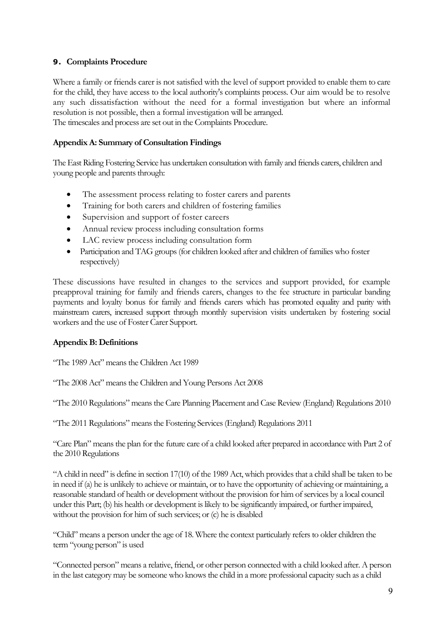## **9. Complaints Procedure**

Where a family or friends carer is not satisfied with the level of support provided to enable them to care for the child, they have access to the local authority's complaints process. Our aim would be to resolve any such dissatisfaction without the need for a formal investigation but where an informal resolution is not possible, then a formal investigation will be arranged. The timescales and process are set out in the Complaints Procedure.

## **Appendix A: Summary of Consultation Findings**

The East Riding Fostering Service has undertaken consultation with family and friends carers, children and young people and parents through:

- The assessment process relating to foster carers and parents
- Training for both carers and children of fostering families
- Supervision and support of foster careers
- Annual review process including consultation forms
- LAC review process including consultation form
- Participation and TAG groups (for children looked after and children of families who foster respectively)

These discussions have resulted in changes to the services and support provided, for example preapproval training for family and friends carers, changes to the fee structure in particular banding payments and loyalty bonus for family and friends carers which has promoted equality and parity with mainstream carers, increased support through monthly supervision visits undertaken by fostering social workers and the use of Foster Carer Support.

#### **Appendix B: Definitions**

"The 1989 Act" means the Children Act 1989

"The 2008 Act" means the Children and Young Persons Act 2008

"The 2010 Regulations" means the Care Planning Placement and Case Review (England) Regulations 2010

"The 2011 Regulations" means the Fostering Services (England) Regulations 2011

"Care Plan" means the plan for the future care of a child looked after prepared in accordance with Part 2 of the 2010 Regulations

"A child in need" is define in section 17(10) of the 1989 Act, which provides that a child shall be taken to be in need if (a) he is unlikely to achieve or maintain, or to have the opportunity of achieving or maintaining, a reasonable standard of health or development without the provision for him of services by a local council under this Part; (b) his health or development is likely to be significantly impaired, or further impaired, without the provision for him of such services; or (c) he is disabled

"Child" means a person under the age of 18. Where the context particularly refers to older children the term "young person" is used

"Connected person" means a relative, friend, or other person connected with a child looked after. A person in the last category may be someone who knows the child in a more professional capacity such as a child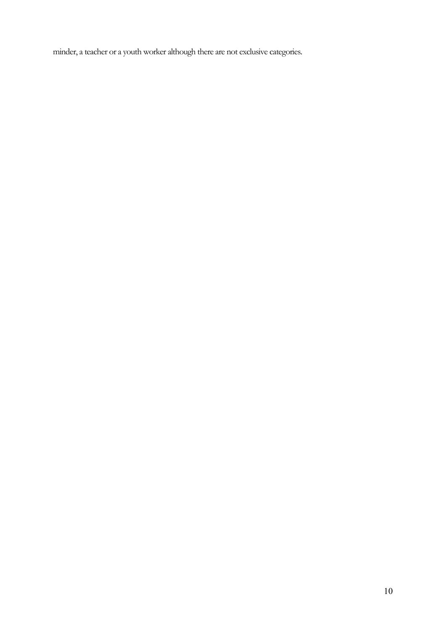minder, a teacher or a youth worker although there are not exclusive categories.